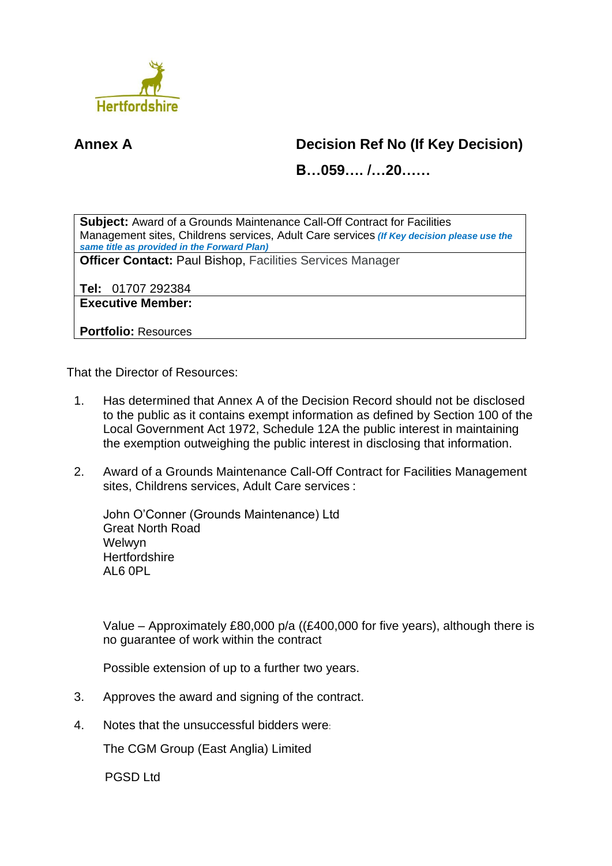

## **Annex A Decision Ref No (If Key Decision)**

**B…059…. /…20……**

**Subject:** Award of a Grounds Maintenance Call-Off Contract for Facilities Management sites, Childrens services, Adult Care services *(If Key decision please use the same title as provided in the Forward Plan)*

**Officer Contact:** Paul Bishop, Facilities Services Manager

**Tel:** 01707 292384

**Executive Member:**

**Portfolio:** Resources

That the Director of Resources:

- 1. Has determined that Annex A of the Decision Record should not be disclosed to the public as it contains exempt information as defined by Section 100 of the Local Government Act 1972, Schedule 12A the public interest in maintaining the exemption outweighing the public interest in disclosing that information.
- 2. Award of a Grounds Maintenance Call-Off Contract for Facilities Management sites, Childrens services, Adult Care services :

John O'Conner (Grounds Maintenance) Ltd Great North Road Welwyn **Hertfordshire**  $AI 6 0PI$ 

Value – Approximately £80,000 p/a ((£400,000 for five years), although there is no guarantee of work within the contract

Possible extension of up to a further two years.

- 3. Approves the award and signing of the contract.
- 4. Notes that the unsuccessful bidders were:

The CGM Group (East Anglia) Limited

PGSD Ltd